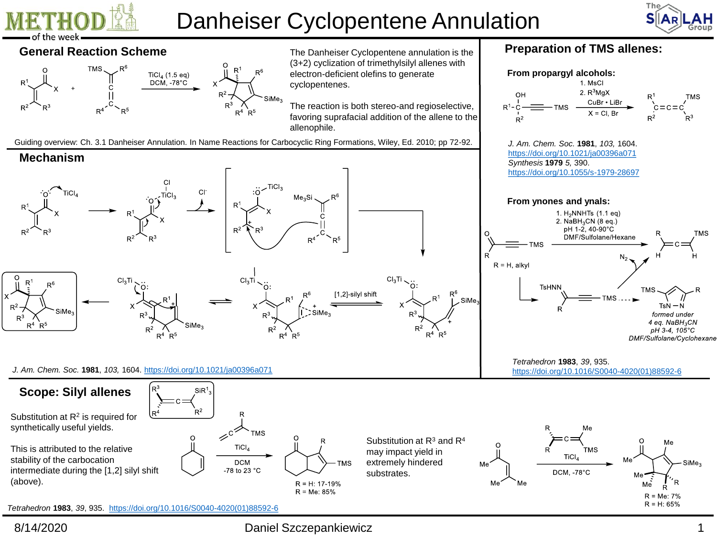

**Mechanism**

 $R<sup>4</sup>$  $R<sup>5</sup>$ 

# Danheiser Cyclopentene Annulation



## **General Reaction Scheme** The Danheiser Cyclopentene annulation is the



(3+2) cyclization of trimethylsilyl allenes with cyclopentenes.

Guiding overview: Ch. 3.1 Danheiser Annulation. In Name Reactions for Carbocyclic Ring Formations, Wiley, Ed. 2010; pp 72-92.

# **Preparation of TMS allenes:**





 $\mathsf{SiMe}_3$ 

 $SiR<sup>1</sup>$ 

 $R^2$ 

 $R<sup>4</sup>$ 

 $R^5$ 

### **Scope: Silyl allenes**

Substitution at  $R^2$  is required for synthetically useful yields.

This is attributed to the relative stability of the carbocation intermediate during the [1,2] silyl shift (above).





8/14/2020 Daniel Szczepankiewicz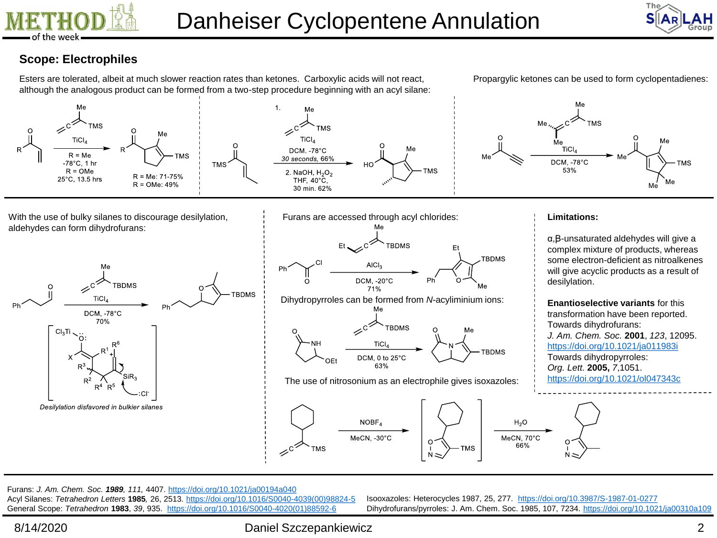



# **Scope: Electrophiles**

Esters are tolerated, albeit at much slower reaction rates than ketones. Carboxylic acids will not react, although the analogous product can be formed from a two-step procedure beginning with an acyl silane: Propargylic ketones can be used to form cyclopentadienes:



With the use of bulky silanes to discourage desilylation, aldehydes can form dihydrofurans:





#### **Limitations:**

α,Ꞵ-unsaturated aldehydes will give a complex mixture of products, whereas some electron-deficient as nitroalkenes will give acyclic products as a result of desilylation.

**Enantioselective variants** for this transformation have been reported. Towards dihydrofurans: *J. Am. Chem. Soc.* **2001**, *123*, 12095. <https://doi.org/10.1021/ja011983i> Towards dihydropyrroles: *Org. Lett.* **2005,** *7*,1051. <https://doi.org/10.1021/ol047343c>

**TMS TMS** 



Furans: *J. Am. Chem. Soc. 1989, 111,* 4407. <https://doi.org/10.1021/ja00194a040> Acyl Silanes: *Tetrahedron Letters* **1985***,* 26, 2513. [https://doi.org/10.1016/S0040-4039\(00\)98824-5](https://doi.org/10.1016/S0040-4039(00)98824-5) General Scope: *Tetrahedron* **1983**, *39*, 935. [https://doi.org/10.1016/S0040-4020\(01\)88592-6](https://doi.org/10.1016/S0040-4020(01)88592-6)

Isooxazoles: Heterocycles 1987, 25, 277. <https://doi.org/10.3987/S-1987-01-0277> Dihydrofurans/pyrroles: J. Am. Chem. Soc. 1985, 107, 7234. <https://doi.org/10.1021/ja00310a109>

8/14/2020 Daniel Szczepankiewicz